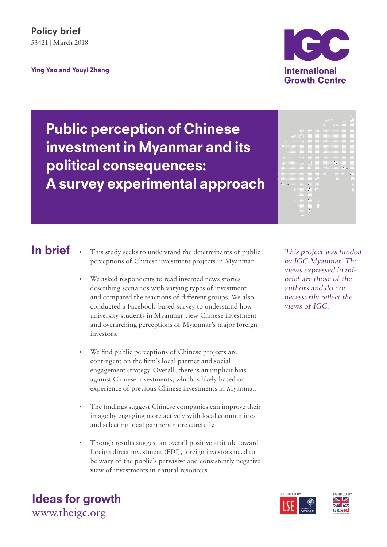In brief

Ying Yao and Youyi Zhang



Public perception of Chinese investment in Myanmar and its political consequences: A survey experimental approach

- This study seeks to understand the determinants of public perceptions of Chinese investment projects in Myanmar.
- We asked respondents to read invented news stories describing scenarios with varying types of investment and compared the reactions of different groups. We also conducted a Facebook-based survey to understand how university students in Myanmar view Chinese investment and overarching perceptions of Myanmar's major foreign investors.
- We find public perceptions of Chinese projects are contingent on the firm's local partner and social engagement strategy. Overall, there is an implicit bias against Chinese investments, which is likely based on experience of previous Chinese investments in Myanmar.
- The findings suggest Chinese companies can improve their image by engaging more actively with local communities and selecting local partners more carefully.
- Though results suggest an overall positive attitude toward foreign direct investment (FDI), foreign investors need to be wary of the public's pervasive and consistently negative view of investments in natural resources.

This project was funded by IGC Myanmar. The views expressed in this brief are those of the authors and do not necessarily reflect the views of IGC.





Ideas for growth www.theigc.org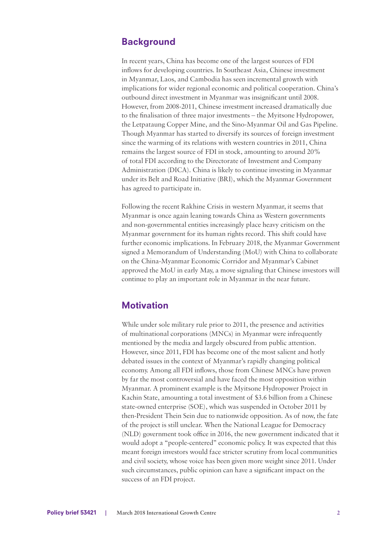## **Background**

In recent years, China has become one of the largest sources of FDI inflows for developing countries. In Southeast Asia, Chinese investment in Myanmar, Laos, and Cambodia has seen incremental growth with implications for wider regional economic and political cooperation. China's outbound direct investment in Myanmar was insignificant until 2008. However, from 2008-2011, Chinese investment increased dramatically due to the finalisation of three major investments – the Myitsone Hydropower, the Letpataung Copper Mine, and the Sino-Myanmar Oil and Gas Pipeline. Though Myanmar has started to diversify its sources of foreign investment since the warming of its relations with western countries in 2011, China remains the largest source of FDI in stock, amounting to around 20% of total FDI according to the Directorate of Investment and Company Administration (DICA). China is likely to continue investing in Myanmar under its Belt and Road Initiative (BRI), which the Myanmar Government has agreed to participate in.

Following the recent Rakhine Crisis in western Myanmar, it seems that Myanmar is once again leaning towards China as Western governments and non-governmental entities increasingly place heavy criticism on the Myanmar government for its human rights record. This shift could have further economic implications. In February 2018, the Myanmar Government signed a Memorandum of Understanding (MoU) with China to collaborate on the China-Myanmar Economic Corridor and Myanmar's Cabinet approved the MoU in early May, a move signaling that Chinese investors will continue to play an important role in Myanmar in the near future.

## **Motivation**

While under sole military rule prior to 2011, the presence and activities of multinational corporations (MNCs) in Myanmar were infrequently mentioned by the media and largely obscured from public attention. However, since 2011, FDI has become one of the most salient and hotly debated issues in the context of Myanmar's rapidly changing political economy. Among all FDI inflows, those from Chinese MNCs have proven by far the most controversial and have faced the most opposition within Myanmar. A prominent example is the Myitsone Hydropower Project in Kachin State, amounting a total investment of \$3.6 billion from a Chinese state-owned enterprise (SOE), which was suspended in October 2011 by then-President Thein Sein due to nationwide opposition. As of now, the fate of the project is still unclear. When the National League for Democracy (NLD) government took office in 2016, the new government indicated that it would adopt a "people-centered" economic policy. It was expected that this meant foreign investors would face stricter scrutiny from local communities and civil society, whose voice has been given more weight since 2011. Under such circumstances, public opinion can have a significant impact on the success of an FDI project.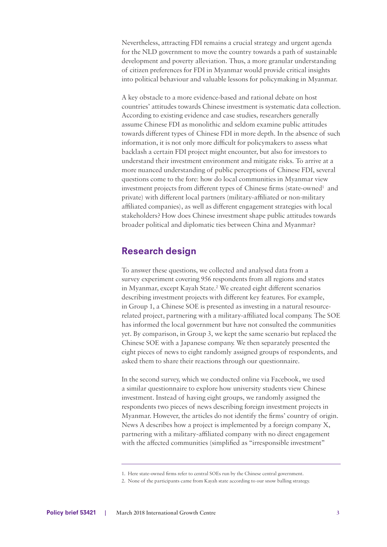Nevertheless, attracting FDI remains a crucial strategy and urgent agenda for the NLD government to move the country towards a path of sustainable development and poverty alleviation. Thus, a more granular understanding of citizen preferences for FDI in Myanmar would provide critical insights into political behaviour and valuable lessons for policymaking in Myanmar.

A key obstacle to a more evidence-based and rational debate on host countries' attitudes towards Chinese investment is systematic data collection. According to existing evidence and case studies, researchers generally assume Chinese FDI as monolithic and seldom examine public attitudes towards different types of Chinese FDI in more depth. In the absence of such information, it is not only more difficult for policymakers to assess what backlash a certain FDI project might encounter, but also for investors to understand their investment environment and mitigate risks. To arrive at a more nuanced understanding of public perceptions of Chinese FDI, several questions come to the fore: how do local communities in Myanmar view investment projects from different types of Chinese firms (state-owned<sup>1</sup> and private) with different local partners (military-affiliated or non-military affiliated companies), as well as different engagement strategies with local stakeholders? How does Chinese investment shape public attitudes towards broader political and diplomatic ties between China and Myanmar?

## Research design

To answer these questions, we collected and analysed data from a survey experiment covering 956 respondents from all regions and states in Myanmar, except Kayah State.<sup>2</sup> We created eight different scenarios describing investment projects with different key features. For example, in Group 1, a Chinese SOE is presented as investing in a natural resourcerelated project, partnering with a military-affiliated local company. The SOE has informed the local government but have not consulted the communities yet. By comparison, in Group 3, we kept the same scenario but replaced the Chinese SOE with a Japanese company. We then separately presented the eight pieces of news to eight randomly assigned groups of respondents, and asked them to share their reactions through our questionnaire.

In the second survey, which we conducted online via Facebook, we used a similar questionnaire to explore how university students view Chinese investment. Instead of having eight groups, we randomly assigned the respondents two pieces of news describing foreign investment projects in Myanmar. However, the articles do not identify the firms' country of origin. News A describes how a project is implemented by a foreign company X, partnering with a military-affiliated company with no direct engagement with the affected communities (simplified as "irresponsible investment"

<sup>1.</sup> Here state-owned firms refer to central SOEs run by the Chinese central government.

<sup>2.</sup> None of the participants came from Kayah state according to our snow balling strategy.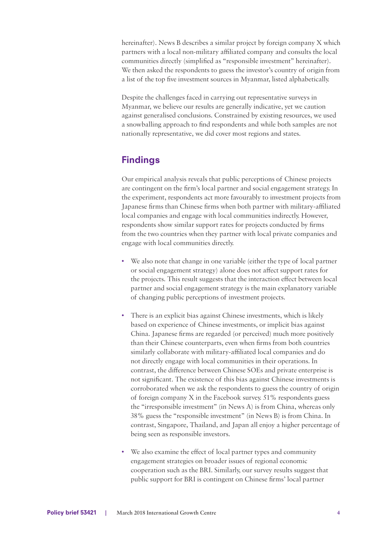hereinafter). News B describes a similar project by foreign company X which partners with a local non-military affiliated company and consults the local communities directly (simplified as "responsible investment" hereinafter). We then asked the respondents to guess the investor's country of origin from a list of the top five investment sources in Myanmar, listed alphabetically.

Despite the challenges faced in carrying out representative surveys in Myanmar, we believe our results are generally indicative, yet we caution against generalised conclusions. Constrained by existing resources, we used a snowballing approach to find respondents and while both samples are not nationally representative, we did cover most regions and states.

# Findings

Our empirical analysis reveals that public perceptions of Chinese projects are contingent on the firm's local partner and social engagement strategy. In the experiment, respondents act more favourably to investment projects from Japanese firms than Chinese firms when both partner with military-affiliated local companies and engage with local communities indirectly. However, respondents show similar support rates for projects conducted by firms from the two countries when they partner with local private companies and engage with local communities directly.

- We also note that change in one variable (either the type of local partner or social engagement strategy) alone does not affect support rates for the projects. This result suggests that the interaction effect between local partner and social engagement strategy is the main explanatory variable of changing public perceptions of investment projects.
- There is an explicit bias against Chinese investments, which is likely based on experience of Chinese investments, or implicit bias against China. Japanese firms are regarded (or perceived) much more positively than their Chinese counterparts, even when firms from both countries similarly collaborate with military-affiliated local companies and do not directly engage with local communities in their operations. In contrast, the difference between Chinese SOEs and private enterprise is not significant. The existence of this bias against Chinese investments is corroborated when we ask the respondents to guess the country of origin of foreign company X in the Facebook survey. 51% respondents guess the "irresponsible investment" (in News A) is from China, whereas only 38% guess the "responsible investment" (in News B) is from China. In contrast, Singapore, Thailand, and Japan all enjoy a higher percentage of being seen as responsible investors.
- We also examine the effect of local partner types and community engagement strategies on broader issues of regional economic cooperation such as the BRI. Similarly, our survey results suggest that public support for BRI is contingent on Chinese firms' local partner